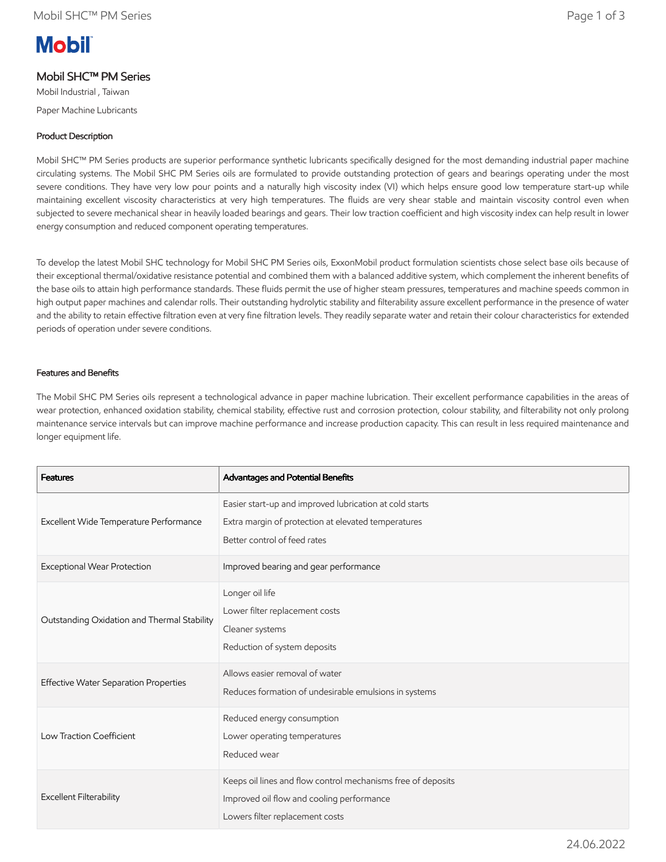# **Mobil**

## Mobil SHC™ PM Series

Mobil Industrial , Taiwan Paper Machine Lubricants

## Product Description

Mobil SHC™ PM Series products are superior performance synthetic lubricants specifically designed for the most demanding industrial paper machine circulating systems. The Mobil SHC PM Series oils are formulated to provide outstanding protection of gears and bearings operating under the most severe conditions. They have very low pour points and a naturally high viscosity index (VI) which helps ensure good low temperature start-up while maintaining excellent viscosity characteristics at very high temperatures. The fluids are very shear stable and maintain viscosity control even when subjected to severe mechanical shear in heavily loaded bearings and gears. Their low traction coefficient and high viscosity index can help result in lower energy consumption and reduced component operating temperatures.

To develop the latest Mobil SHC technology for Mobil SHC PM Series oils, ExxonMobil product formulation scientists chose select base oils because of their exceptional thermal/oxidative resistance potential and combined them with a balanced additive system, which complement the inherent benefits of the base oils to attain high performance standards. These fluids permit the use of higher steam pressures, temperatures and machine speeds common in high output paper machines and calendar rolls. Their outstanding hydrolytic stability and filterability assure excellent performance in the presence of water and the ability to retain effective filtration even at very fine filtration levels. They readily separate water and retain their colour characteristics for extended periods of operation under severe conditions.

## Features and Benefits

The Mobil SHC PM Series oils represent a technological advance in paper machine lubrication. Their excellent performance capabilities in the areas of wear protection, enhanced oxidation stability, chemical stability, effective rust and corrosion protection, colour stability, and filterability not only prolong maintenance service intervals but can improve machine performance and increase production capacity. This can result in less required maintenance and longer equipment life.

| <b>Features</b>                              | Advantages and Potential Benefits                                                                                                              |
|----------------------------------------------|------------------------------------------------------------------------------------------------------------------------------------------------|
| Excellent Wide Temperature Performance       | Easier start-up and improved lubrication at cold starts<br>Extra margin of protection at elevated temperatures<br>Better control of feed rates |
| Exceptional Wear Protection                  | Improved bearing and gear performance                                                                                                          |
| Outstanding Oxidation and Thermal Stability  | Longer oil life<br>Lower filter replacement costs<br>Cleaner systems<br>Reduction of system deposits                                           |
| <b>Effective Water Separation Properties</b> | Allows easier removal of water<br>Reduces formation of undesirable emulsions in systems                                                        |
| Low Traction Coefficient                     | Reduced energy consumption<br>Lower operating temperatures<br>Reduced wear                                                                     |
| Excellent Filterability                      | Keeps oil lines and flow control mechanisms free of deposits<br>Improved oil flow and cooling performance<br>Lowers filter replacement costs   |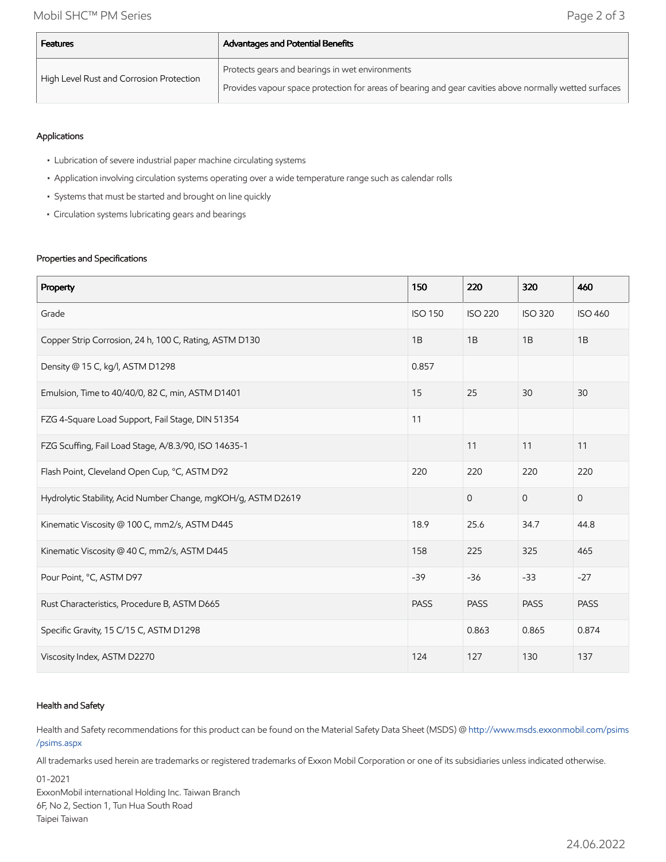| <b>Features</b>                          | <b>Advantages and Potential Benefits</b>                                                               |  |  |  |
|------------------------------------------|--------------------------------------------------------------------------------------------------------|--|--|--|
| High Level Rust and Corrosion Protection | Protects gears and bearings in wet environments                                                        |  |  |  |
|                                          | Provides vapour space protection for areas of bearing and gear cavities above normally wetted surfaces |  |  |  |

## Applications

- Lubrication of severe industrial paper machine circulating systems
- Application involving circulation systems operating over a wide temperature range such as calendar rolls
- Systems that must be started and brought on line quickly
- Circulation systems lubricating gears and bearings

### Properties and Specifications

| Property                                                      | 150            | 220            | 320            | 460            |
|---------------------------------------------------------------|----------------|----------------|----------------|----------------|
| Grade                                                         | <b>ISO 150</b> | <b>ISO 220</b> | <b>ISO 320</b> | <b>ISO 460</b> |
| Copper Strip Corrosion, 24 h, 100 C, Rating, ASTM D130        | 1B             | 1B             | 1B             | 1B             |
| Density @ 15 C, kg/l, ASTM D1298                              | 0.857          |                |                |                |
| Emulsion, Time to 40/40/0, 82 C, min, ASTM D1401              | 15             | 25             | 30             | 30             |
| FZG 4-Square Load Support, Fail Stage, DIN 51354              | 11             |                |                |                |
| FZG Scuffing, Fail Load Stage, A/8.3/90, ISO 14635-1          |                | 11             | 11             | 11             |
| Flash Point, Cleveland Open Cup, °C, ASTM D92                 | 220            | 220            | 220            | 220            |
| Hydrolytic Stability, Acid Number Change, mgKOH/g, ASTM D2619 |                | $\overline{0}$ | $\mathbf{O}$   | $\mathbf{0}$   |
| Kinematic Viscosity @ 100 C, mm2/s, ASTM D445                 | 18.9           | 25.6           | 34.7           | 44.8           |
| Kinematic Viscosity @ 40 C, mm2/s, ASTM D445                  | 158            | 225            | 325            | 465            |
| Pour Point, °C, ASTM D97                                      | $-39$          | $-36$          | $-33$          | $-27$          |
| Rust Characteristics, Procedure B, ASTM D665                  | <b>PASS</b>    | <b>PASS</b>    | <b>PASS</b>    | <b>PASS</b>    |
| Specific Gravity, 15 C/15 C, ASTM D1298                       |                | 0.863          | 0.865          | 0.874          |
| Viscosity Index, ASTM D2270                                   | 124            | 127            | 130            | 137            |

### Health and Safety

Health and Safety recommendations for this product can be found on the Material Safety Data Sheet (MSDS) @ [http://www.msds.exxonmobil.com/psims](http://www.msds.exxonmobil.com/psims/psims.aspx) /psims.aspx

All trademarks used herein are trademarks or registered trademarks of Exxon Mobil Corporation or one of its subsidiaries unless indicated otherwise.

01-2021

ExxonMobil international Holding Inc. Taiwan Branch 6F, No 2, Section 1, Tun Hua South Road Taipei Taiwan